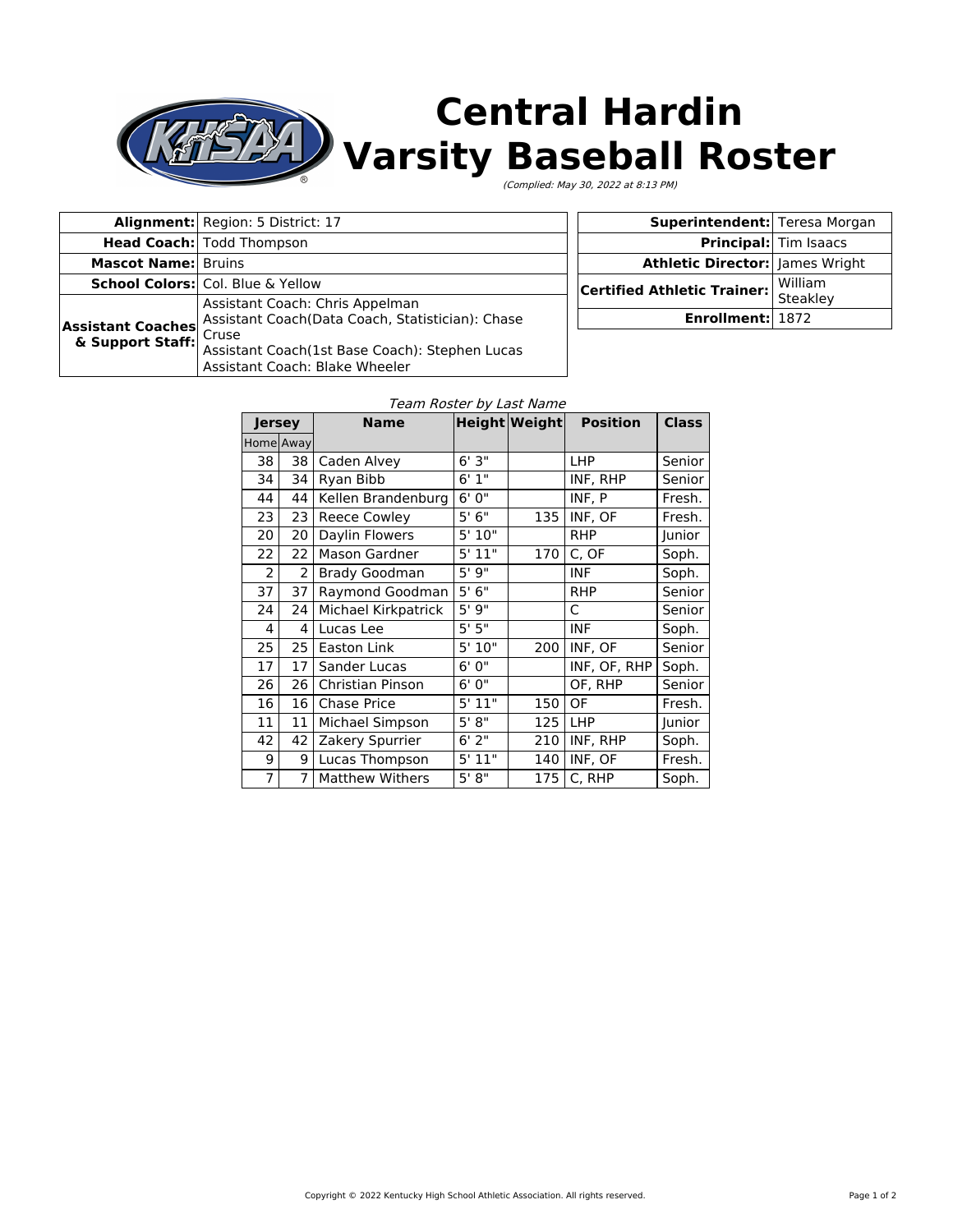

# **Central Hardin Varsity Baseball Roster**

(Complied: May 30, 2022 at 8:13 PM)

|                            | Alignment: Region: 5 District: 17                | <b>Superintendent:</b> Teresa Morgan     |                              |
|----------------------------|--------------------------------------------------|------------------------------------------|------------------------------|
|                            | <b>Head Coach:</b> Todd Thompson                 |                                          | <b>Principal:</b> Tim Isaacs |
| <b>Mascot Name: Bruins</b> |                                                  | <b>Athletic Director:   James Wright</b> |                              |
|                            | <b>School Colors:</b> Col. Blue & Yellow         | Certified Athletic Trainer:              | William                      |
|                            | Assistant Coach: Chris Appelman                  |                                          | Steakley                     |
| <b>Assistant Coaches</b>   | Assistant Coach(Data Coach, Statistician): Chase | Enrollment: 1872                         |                              |
| & Support Staff: Cruse     |                                                  |                                          |                              |
|                            | Assistant Coach(1st Base Coach): Stephen Lucas   |                                          |                              |
|                            | Assistant Coach: Blake Wheeler                   |                                          |                              |

#### Team Roster by Last Name

| Jersey         |                | <b>Name</b>            |                       | <b>Height Weight</b> | <b>Position</b> | <b>Class</b> |
|----------------|----------------|------------------------|-----------------------|----------------------|-----------------|--------------|
|                | Home Away      |                        |                       |                      |                 |              |
| 38             | 38             | Caden Alvey            | 6'3''                 |                      | <b>LHP</b>      | Senior       |
| 34             | 34             | Ryan Bibb              | 6'1''                 |                      | INF, RHP        | Senior       |
| 44             | 44             | Kellen Brandenburg     | 6'0''                 |                      | INF, P          | Fresh.       |
| 23             | 23             | <b>Reece Cowley</b>    | 5'6''                 | 135                  | INF, OF         | Fresh.       |
| 20             | 20             | Daylin Flowers         | 5'10"                 |                      | <b>RHP</b>      | Junior       |
| 22             | 22             | Mason Gardner          | 5'11"                 | 170                  | C, OF           | Soph.        |
| $\overline{2}$ | $\overline{2}$ | <b>Brady Goodman</b>   | 5'9''                 |                      | <b>INF</b>      | Soph.        |
| 37             | 37             | Raymond Goodman        | 5'6''                 |                      | <b>RHP</b>      | Senior       |
| 24             | 24             | Michael Kirkpatrick    | 5'9''                 |                      | C               | Senior       |
| 4              | 4              | Lucas Lee              | 5'5''                 |                      | <b>INF</b>      | Soph.        |
| 25             | 25             | Easton Link            | 5'10"                 | 200                  | INF, OF         | Senior       |
| 17             | 17             | Sander Lucas           | 6'0''                 |                      | INF, OF, RHP    | Soph.        |
| 26             | 26             | Christian Pinson       | 6'0''                 |                      | OF, RHP         | Senior       |
| 16             | 16             | <b>Chase Price</b>     | 5' 11''               | 150                  | OF              | Fresh.       |
| 11             | 11             | Michael Simpson        | 5' 8''                | 125                  | LHP             | Junior       |
| 42             | 42             | Zakery Spurrier        | 6'2"                  | 210                  | INF, RHP        | Soph.        |
| 9              | 9              | Lucas Thompson         | 5'11"                 | 140                  | INF, OF         | Fresh.       |
| 7              | $\overline{7}$ | <b>Matthew Withers</b> | $5'$ $\overline{8''}$ | 175                  | C, RHP          | Soph.        |